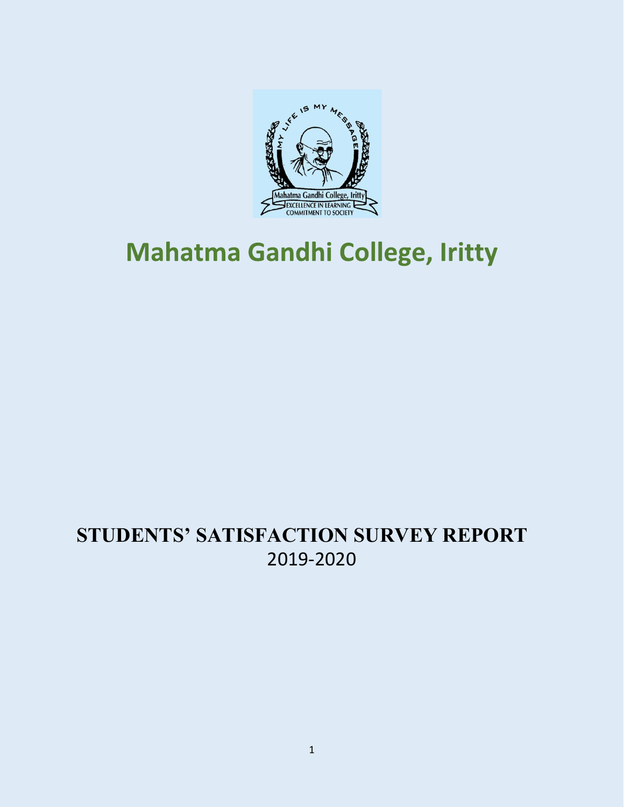

# **Mahatma Gandhi College, Iritty**

# **STUDENTS' SATISFACTION SURVEY REPORT**  2019-2020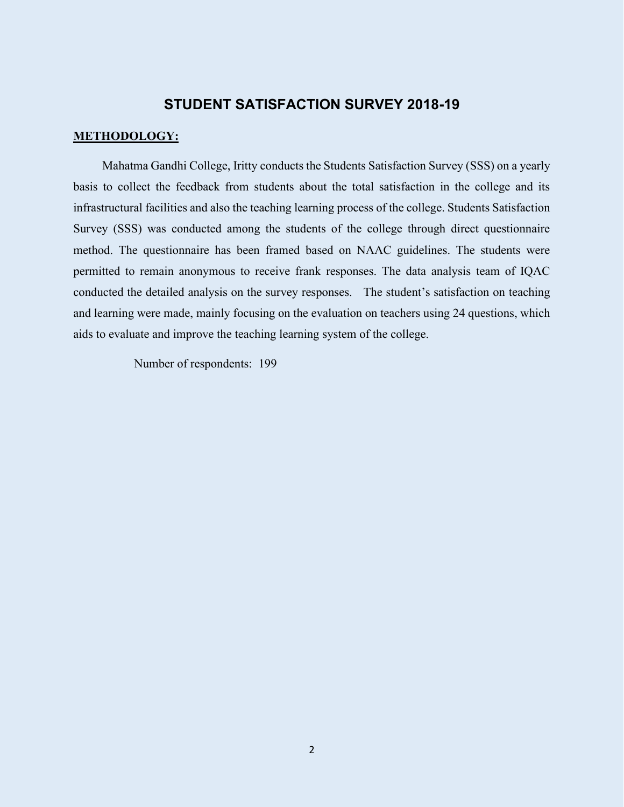#### **STUDENT SATISFACTION SURVEY 2018-19**

#### **METHODOLOGY:**

Mahatma Gandhi College, Iritty conducts the Students Satisfaction Survey (SSS) on a yearly basis to collect the feedback from students about the total satisfaction in the college and its infrastructural facilities and also the teaching learning process of the college. Students Satisfaction Survey (SSS) was conducted among the students of the college through direct questionnaire method. The questionnaire has been framed based on NAAC guidelines. The students were permitted to remain anonymous to receive frank responses. The data analysis team of IQAC conducted the detailed analysis on the survey responses. The student's satisfaction on teaching and learning were made, mainly focusing on the evaluation on teachers using 24 questions, which aids to evaluate and improve the teaching learning system of the college.

Number of respondents: 199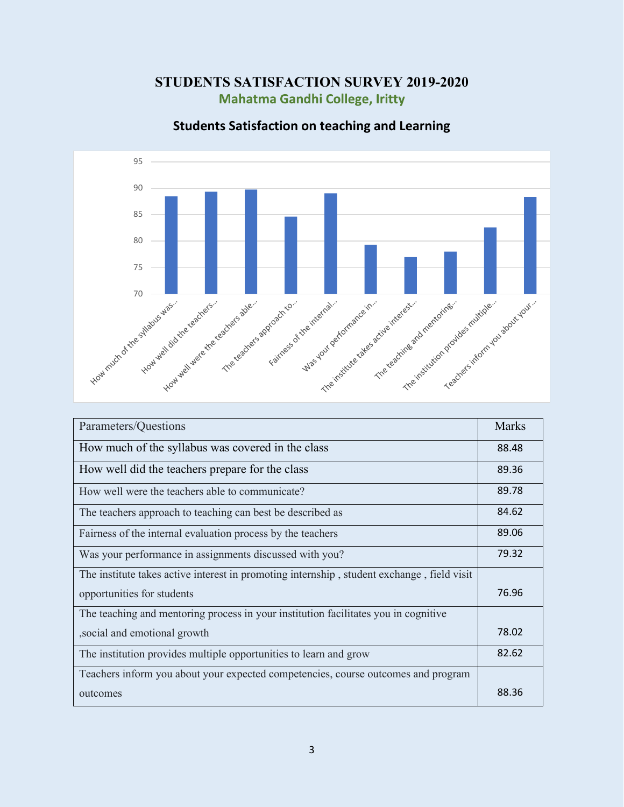# **STUDENTS SATISFACTION SURVEY 2019-2020 Mahatma Gandhi College, Iritty**



## **Students Satisfaction on teaching and Learning**

| Parameters/Questions                                                                       | <b>Marks</b> |
|--------------------------------------------------------------------------------------------|--------------|
| How much of the syllabus was covered in the class                                          | 88.48        |
| How well did the teachers prepare for the class                                            | 89.36        |
| How well were the teachers able to communicate?                                            | 89.78        |
| The teachers approach to teaching can best be described as                                 | 84.62        |
| Fairness of the internal evaluation process by the teachers                                | 89.06        |
| Was your performance in assignments discussed with you?                                    | 79.32        |
| The institute takes active interest in promoting internship, student exchange, field visit |              |
| opportunities for students                                                                 | 76.96        |
| The teaching and mentoring process in your institution facilitates you in cognitive        |              |
| , social and emotional growth                                                              | 78.02        |
| The institution provides multiple opportunities to learn and grow                          | 82.62        |
| Teachers inform you about your expected competencies, course outcomes and program          |              |
| outcomes                                                                                   | 88.36        |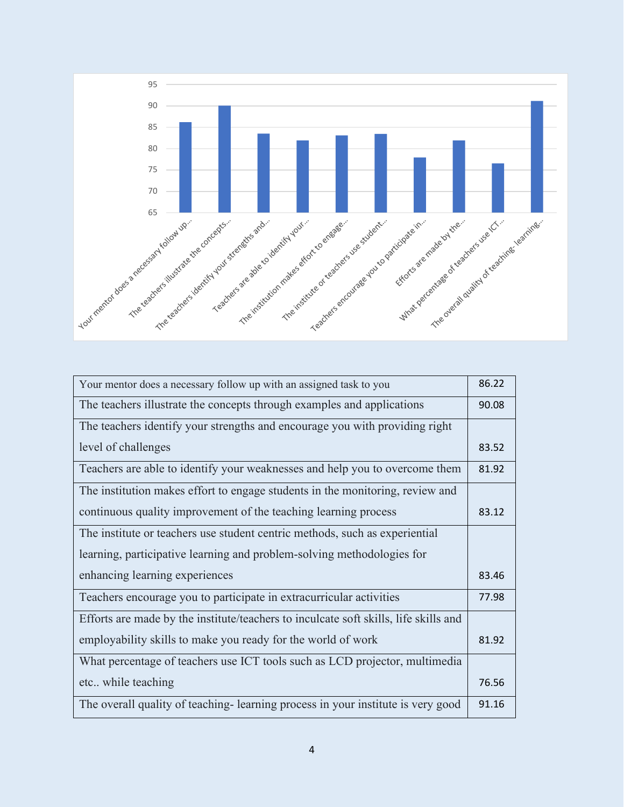

| Your mentor does a necessary follow up with an assigned task to you                  | 86.22 |
|--------------------------------------------------------------------------------------|-------|
| The teachers illustrate the concepts through examples and applications               | 90.08 |
| The teachers identify your strengths and encourage you with providing right          |       |
| level of challenges                                                                  | 83.52 |
| Teachers are able to identify your weaknesses and help you to overcome them          | 81.92 |
| The institution makes effort to engage students in the monitoring, review and        |       |
| continuous quality improvement of the teaching learning process                      | 83.12 |
| The institute or teachers use student centric methods, such as experiential          |       |
| learning, participative learning and problem-solving methodologies for               |       |
| enhancing learning experiences                                                       | 83.46 |
| Teachers encourage you to participate in extracurricular activities                  | 77.98 |
| Efforts are made by the institute/teachers to inculcate soft skills, life skills and |       |
| employability skills to make you ready for the world of work                         | 81.92 |
| What percentage of teachers use ICT tools such as LCD projector, multimedia          |       |
| etc while teaching                                                                   | 76.56 |
| The overall quality of teaching-learning process in your institute is very good      | 91.16 |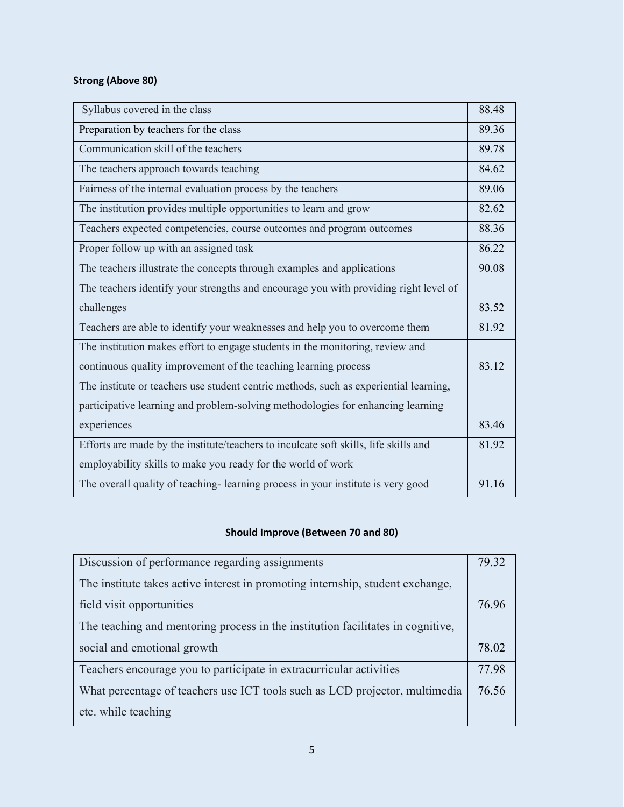## **Strong (Above 80)**

| Syllabus covered in the class                                                         | 88.48 |
|---------------------------------------------------------------------------------------|-------|
| Preparation by teachers for the class                                                 | 89.36 |
| Communication skill of the teachers                                                   | 89.78 |
| The teachers approach towards teaching                                                | 84.62 |
| Fairness of the internal evaluation process by the teachers                           | 89.06 |
| The institution provides multiple opportunities to learn and grow                     | 82.62 |
| Teachers expected competencies, course outcomes and program outcomes                  | 88.36 |
| Proper follow up with an assigned task                                                | 86.22 |
| The teachers illustrate the concepts through examples and applications                | 90.08 |
| The teachers identify your strengths and encourage you with providing right level of  |       |
| challenges                                                                            | 83.52 |
| Teachers are able to identify your weaknesses and help you to overcome them           | 81.92 |
| The institution makes effort to engage students in the monitoring, review and         |       |
| continuous quality improvement of the teaching learning process                       | 83.12 |
| The institute or teachers use student centric methods, such as experiential learning, |       |
| participative learning and problem-solving methodologies for enhancing learning       |       |
| experiences                                                                           | 83.46 |
| Efforts are made by the institute/teachers to inculcate soft skills, life skills and  | 81.92 |
| employability skills to make you ready for the world of work                          |       |
| The overall quality of teaching-learning process in your institute is very good       | 91.16 |

#### **Should Improve (Between 70 and 80)**

| Discussion of performance regarding assignments                                 | 79.32 |
|---------------------------------------------------------------------------------|-------|
| The institute takes active interest in promoting internship, student exchange,  |       |
| field visit opportunities                                                       | 76.96 |
| The teaching and mentoring process in the institution facilitates in cognitive, |       |
| social and emotional growth                                                     | 78.02 |
| Teachers encourage you to participate in extracurricular activities             | 77.98 |
|                                                                                 |       |
| What percentage of teachers use ICT tools such as LCD projector, multimedia     | 76.56 |